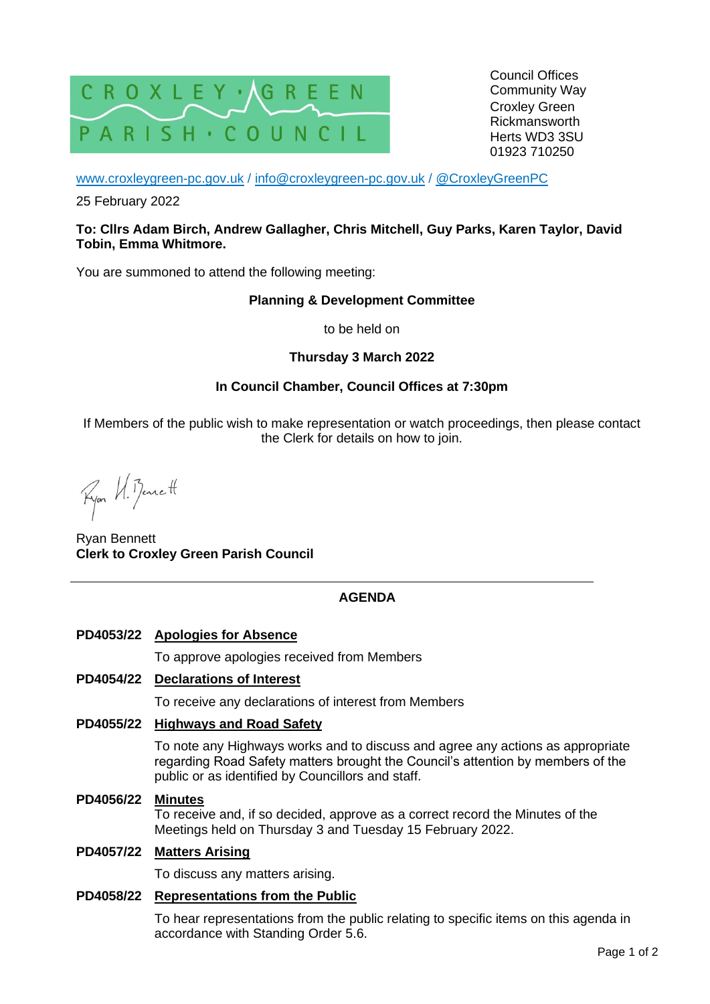

Council Offices Community Way Croxley Green Rickmansworth Herts WD3 3SU 01923 710250

[www.croxleygreen-pc.gov.uk](http://www.croxleygreen-pc.gov.uk/) / [info@croxleygreen-pc.gov.uk](mailto:info@croxleygreen-pc.gov.uk) / [@CroxleyGreenPC](https://twitter.com/CroxleyGreenPC)

25 February 2022

#### **To: Cllrs Adam Birch, Andrew Gallagher, Chris Mitchell, Guy Parks, Karen Taylor, David Tobin, Emma Whitmore.**

You are summoned to attend the following meeting:

## **Planning & Development Committee**

to be held on

# **Thursday 3 March 2022**

# **In Council Chamber, Council Offices at 7:30pm**

If Members of the public wish to make representation or watch proceedings, then please contact the Clerk for details on how to join.

Ryon U. Benett

Ryan Bennett **Clerk to Croxley Green Parish Council**

# **AGENDA**

# **PD4053/22 Apologies for Absence**

To approve apologies received from Members

## **PD4054/22 Declarations of Interest**

To receive any declarations of interest from Members

# **PD4055/22 Highways and Road Safety**

To note any Highways works and to discuss and agree any actions as appropriate regarding Road Safety matters brought the Council's attention by members of the public or as identified by Councillors and staff.

**PD4056/22 Minutes**

To receive and, if so decided, approve as a correct record the Minutes of the Meetings held on Thursday 3 and Tuesday 15 February 2022.

#### **PD4057/22 Matters Arising**

To discuss any matters arising.

#### **PD4058/22 Representations from the Public**

To hear representations from the public relating to specific items on this agenda in accordance with Standing Order 5.6.